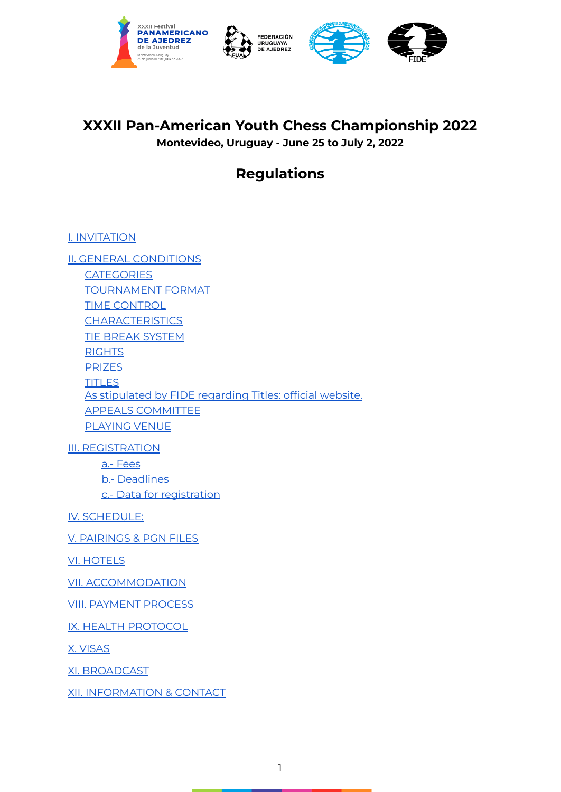



# **XXXII Pan-American Youth Chess Championship 2022**

**Montevideo, Uruguay - June 25 to July 2, 2022**

# **Regulations**

I. [INVITATION](#page-1-0)

II. GENERAL [CONDITIONS](#page-1-1) **[CATEGORIES](#page-1-2)** [TOURNAMENT](#page-1-3) FORMAT TIME [CONTROL](#page-1-4) **[CHARACTERISTICS](#page-1-5)** TIE BREAK [SYSTEM](#page-2-0) [RIGHTS](#page-2-1) [PRIZES](#page-2-2) **[TITLES](#page-3-0)** As [stipulated](#page-3-0) by FIDE regarding Titles: official website. APPEALS [COMMITTEE](#page-3-1) [PLAYING](#page-3-2) VENUE

III. [REGISTRATION](#page-3-3)

a.- [Fees](#page-4-0) b.- [Deadlines](#page-4-1) c.- Data for [registration](#page-4-2)

IV. [SCHEDULE:](#page-5-0)

V. [PAIRINGS](#page-5-1) & PGN FILES

VI. [HOTELS](#page-5-2)

VII. [ACCOMMODATION](#page-6-0)

VIII. [PAYMENT](#page-7-0) PROCESS

IX. HEALTH [PROTOCOL](#page-7-1)

X. [VISAS](#page-8-0)

XI. [BROADCAST](#page-8-1)

XII. [INFORMATION](#page-8-2) & CONTACT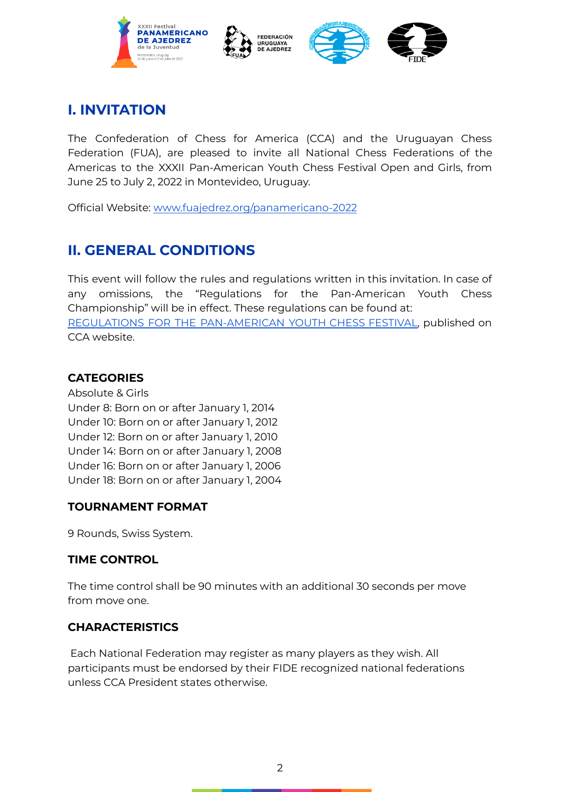

# <span id="page-1-0"></span>**I. INVITATION**

The Confederation of Chess for America (CCA) and the Uruguayan Chess Federation (FUA), are pleased to invite all National Chess Federations of the Americas to the XXXII Pan-American Youth Chess Festival Open and Girls, from June 25 to July 2, 2022 in Montevideo, Uruguay.

Official Website[:](http://www.fuajedrez.org/panamericano2016) [www.fuajedrez.org/panamericano-2022](http://www.fuajedrez.org/panamericano-2022)

# <span id="page-1-1"></span>**II. GENERAL CONDITIONS**

This event will follow the rules and regulations written in this invitation. In case of any omissions, the "Regulations for the Pan-American Youth Chess Championship" will be in effect. These regulations can be found at: REGULATIONS FOR THE [PAN-AMERICAN](http://www.fideamerica.org/files/downloads/Pan%20Youth%20Reg.pdf) YOUTH CHESS FESTIVAL, published on CCA website.

#### <span id="page-1-2"></span>**CATEGORIES**

Absolute & Girls Under 8: Born on or after January 1, 2014 Under 10: Born on or after January 1, 2012 Under 12: Born on or after January 1, 2010 Under 14: Born on or after January 1, 2008 Under 16: Born on or after January 1, 2006 Under 18: Born on or after January 1, 2004

#### <span id="page-1-3"></span>**TOURNAMENT FORMAT**

9 Rounds, Swiss System.

#### <span id="page-1-4"></span>**TIME CONTROL**

The time control shall be 90 minutes with an additional 30 seconds per move from move one.

#### <span id="page-1-5"></span>**CHARACTERISTICS**

Each National Federation may register as many players as they wish. All participants must be endorsed by their FIDE recognized national federations unless CCA President states otherwise.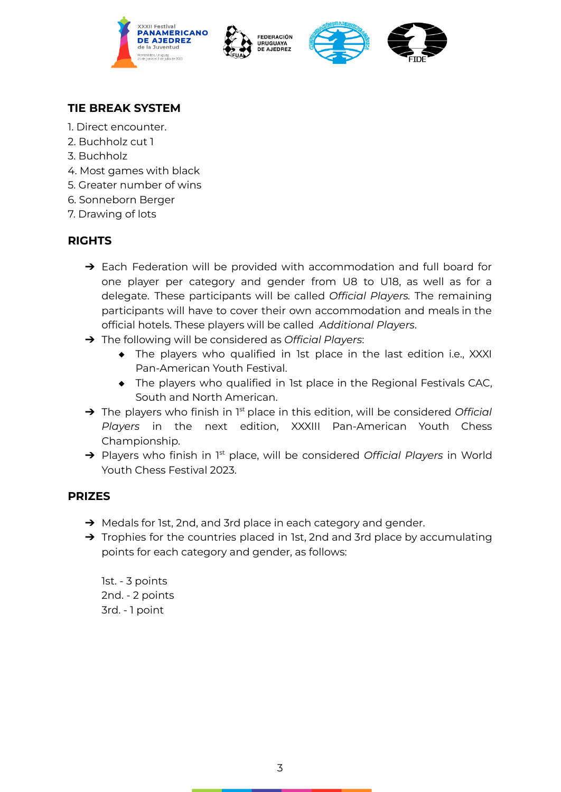







## <span id="page-2-0"></span>**TIE BREAK SYSTEM**

- 1. Direct encounter.
- 2. Buchholz cut 1
- 3. Buchholz
- 4. Most games with black
- 5. Greater number of wins
- 6. Sonneborn Berger
- 7. Drawing of lots

## <span id="page-2-1"></span>**RIGHTS**

- → Each Federation will be provided with accommodation and full board for one player per category and gender from U8 to U18, as well as for a delegate. These participants will be called *Official Players.* The remaining participants will have to cover their own accommodation and meals in the official hotels. These players will be called *Additional Players*.
- ➔ The following will be considered as *Official Players*:
	- ◆ The players who qualified in 1st place in the last edition i.e., XXXI Pan-American Youth Festival.
	- ◆ The players who qualified in 1st place in the Regional Festivals CAC, South and North American.
- → The players who finish in 1<sup>st</sup> place in this edition, will be considered *Official Players* in the next edition, XXXIII Pan-American Youth Chess Championship.
- → Players who finish in 1<sup>st</sup> place, will be considered Official Players in World Youth Chess Festival 2023.

## <span id="page-2-2"></span>**PRIZES**

- → Medals for 1st, 2nd, and 3rd place in each category and gender.
- → Trophies for the countries placed in 1st, 2nd and 3rd place by accumulating points for each category and gender, as follows:

1st. - 3 points 2nd. - 2 points 3rd. - 1 point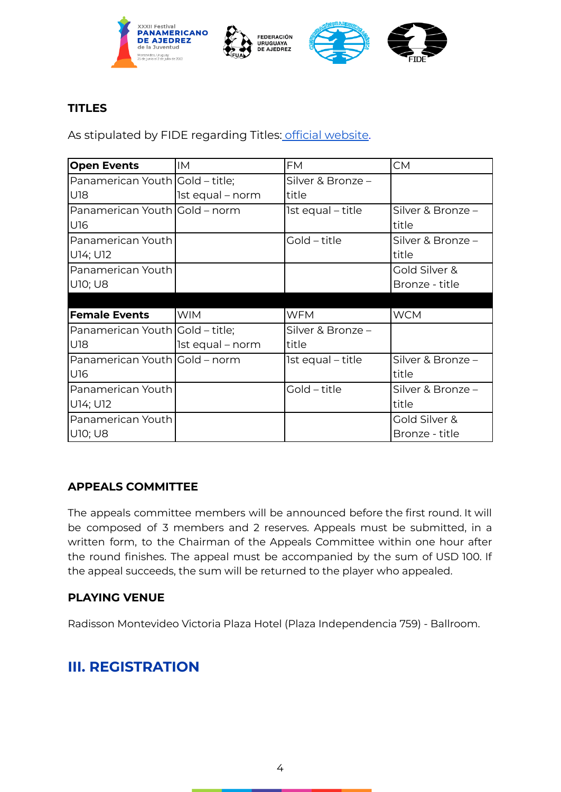







## <span id="page-3-0"></span>**TITLES**

As stipulated by FIDE regarding Titles: [o](http://www.fide.com/component/handbook/?id=173&view=article)fficial [website.](https://handbook.fide.com/chapter/B01DirectTitles2017)

| <b>Open Events</b>              | <b>IM</b>        | <b>FM</b>         | <b>CM</b>         |
|---------------------------------|------------------|-------------------|-------------------|
| Panamerican Youth Gold - title; |                  | Silver & Bronze - |                   |
| U18                             | 1st equal - norm | title             |                   |
| Panamerican Youth Gold - norm   |                  | 1st equal - title | Silver & Bronze - |
| U16                             |                  |                   | title             |
| Panamerican Youth               |                  | Gold - title      | Silver & Bronze - |
| U14; U12                        |                  |                   | title             |
| Panamerican Youth               |                  |                   | Gold Silver &     |
| <b>U10; U8</b>                  |                  |                   | Bronze - title    |
|                                 |                  |                   |                   |
| <b>Female Events</b>            | <b>WIM</b>       | <b>WFM</b>        | <b>WCM</b>        |
| Panamerican Youth Gold – title; |                  | Silver & Bronze - |                   |
| U18                             | 1st equal - norm | title             |                   |
| Panamerican Youth Gold - norm   |                  | 1st equal - title | Silver & Bronze - |
| U16                             |                  |                   | title             |
| Panamerican Youth               |                  | Gold – title      | Silver & Bronze - |
| U14; U12                        |                  |                   | title             |
| Panamerican Youth               |                  |                   | Gold Silver &     |
| <b>U10; U8</b>                  |                  |                   | Bronze - title    |

#### <span id="page-3-1"></span>**APPEALS COMMITTEE**

The appeals committee members will be announced before the first round. It will be composed of 3 members and 2 reserves. Appeals must be submitted, in a written form, to the Chairman of the Appeals Committee within one hour after the round finishes. The appeal must be accompanied by the sum of USD 100. If the appeal succeeds, the sum will be returned to the player who appealed.

#### <span id="page-3-2"></span>**PLAYING VENUE**

Radisson Montevideo Victoria Plaza Hotel (Plaza Independencia 759) - Ballroom.

## <span id="page-3-3"></span>**III. REGISTRATION**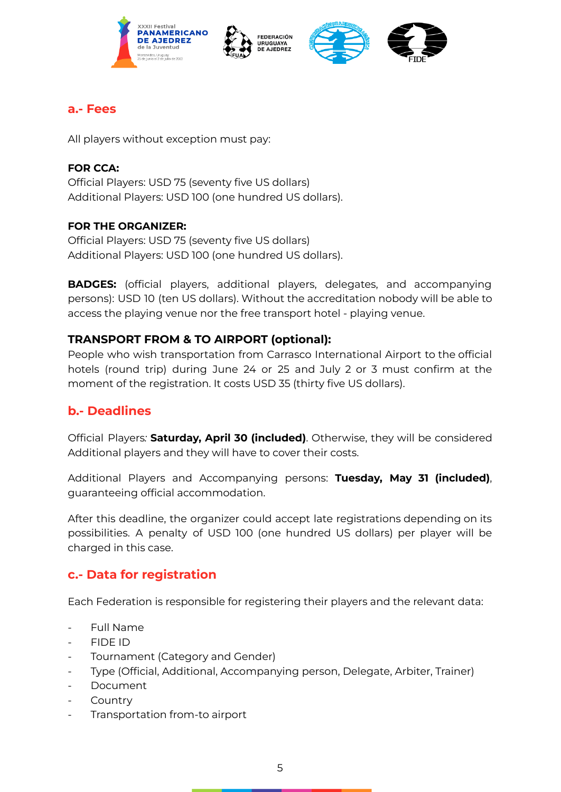







## <span id="page-4-0"></span>**a.- Fees**

All players without exception must pay:

#### **FOR CCA:**

Official Players: USD 75 (seventy five US dollars) Additional Players: USD 100 (one hundred US dollars).

#### **FOR THE ORGANIZER:**

Official Players: USD 75 (seventy five US dollars) Additional Players: USD 100 (one hundred US dollars).

**BADGES:** (official players, additional players, delegates, and accompanying persons): USD 10 (ten US dollars). Without the accreditation nobody will be able to access the playing venue nor the free transport hotel - playing venue.

## **TRANSPORT FROM & TO AIRPORT (optional):**

People who wish transportation from Carrasco International Airport to the official hotels (round trip) during June 24 or 25 and July 2 or 3 must confirm at the moment of the registration. It costs USD 35 (thirty five US dollars).

## <span id="page-4-1"></span>**b.- Deadlines**

Official Players*:* **Saturday, April 30 (included)**. Otherwise, they will be considered Additional players and they will have to cover their costs.

Additional Players and Accompanying persons: **Tuesday, May 31 (included)**, guaranteeing official accommodation.

After this deadline, the organizer could accept late registrations depending on its possibilities. A penalty of USD 100 (one hundred US dollars) per player will be charged in this case.

## <span id="page-4-2"></span>**c.- Data for registration**

Each Federation is responsible for registering their players and the relevant data:

- Full Name
- FIDE ID
- Tournament (Category and Gender)
- Type (Official, Additional, Accompanying person, Delegate, Arbiter, Trainer)
- **Document**
- **Country**
- Transportation from-to airport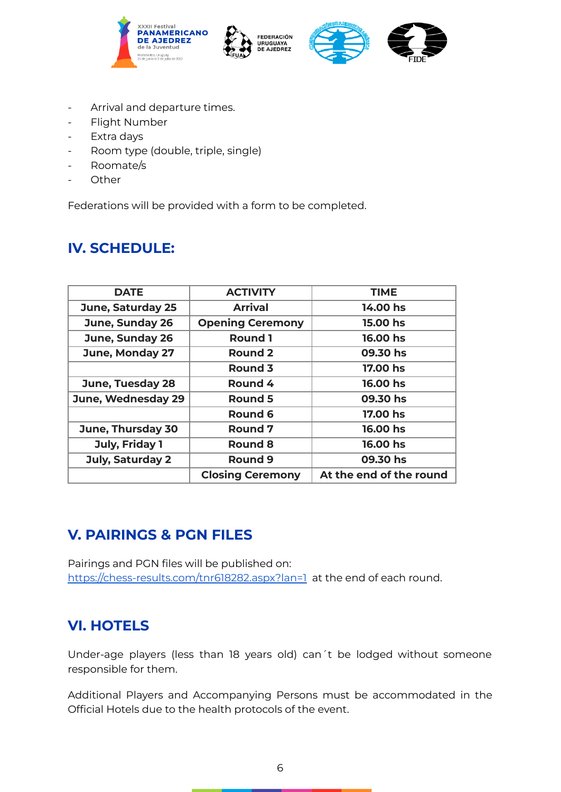







- Arrival and departure times.
- Flight Number
- Extra days
- Room type (double, triple, single)
- Roomate/s
- **Other**

Federations will be provided with a form to be completed.

# <span id="page-5-0"></span>**IV. SCHEDULE:**

| <b>DATE</b>              | <b>ACTIVITY</b>         | <b>TIME</b>             |
|--------------------------|-------------------------|-------------------------|
| <b>June, Saturday 25</b> | <b>Arrival</b>          | 14.00 hs                |
| June, Sunday 26          | <b>Opening Ceremony</b> | 15.00 hs                |
| June, Sunday 26          | <b>Round 1</b>          | 16.00 hs                |
| June, Monday 27          | <b>Round 2</b>          | 09.30 hs                |
|                          | Round 3                 | 17.00 hs                |
| <b>June, Tuesday 28</b>  | Round 4                 | 16.00 hs                |
| June, Wednesday 29       | Round 5                 | 09.30 hs                |
|                          | Round 6                 | 17.00 hs                |
| June, Thursday 30        | <b>Round 7</b>          | 16.00 hs                |
| July, Friday 1           | <b>Round 8</b>          | 16.00 hs                |
| <b>July, Saturday 2</b>  | <b>Round 9</b>          | 09.30 hs                |
|                          | <b>Closing Ceremony</b> | At the end of the round |

# <span id="page-5-1"></span>**V. PAIRINGS & PGN FILES**

Pairings and PGN files will be published on: <https://chess-results.com/tnr618282.aspx?lan=1> at the end of each round.

# <span id="page-5-2"></span>**VI. HOTELS**

Under-age players (less than 18 years old) can´t be lodged without someone responsible for them.

Additional Players and Accompanying Persons must be accommodated in the Official Hotels due to the health protocols of the event.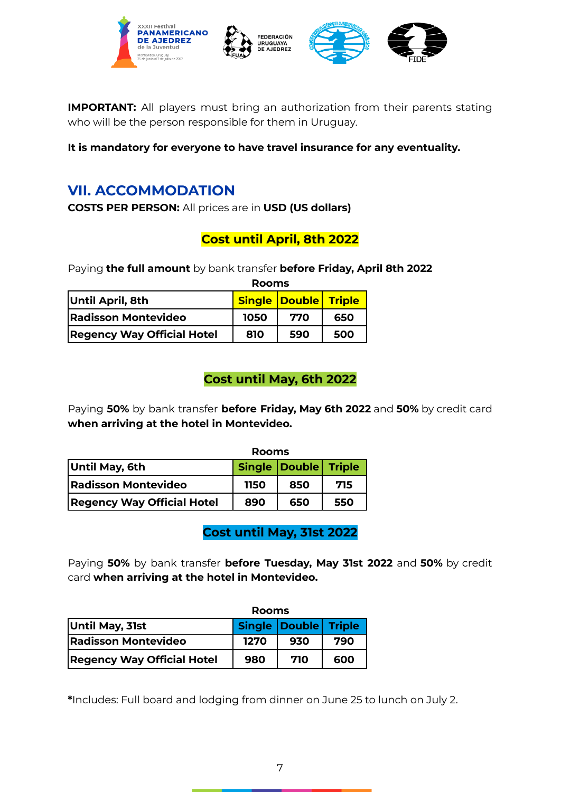

**IMPORTANT:** All players must bring an authorization from their parents stating who will be the person responsible for them in Uruguay.

**It is mandatory for everyone to have travel insurance for any eventuality.**

# <span id="page-6-0"></span>**VII. ACCOMMODATION**

**COSTS PER PERSON:** All prices are in **USD (US dollars)**

## **Cost until April, 8th 2022**

Paying **the full amount** by bank transfer **before Friday, April 8th 2022**

|                                   | <b>Rooms</b> |                             |     |
|-----------------------------------|--------------|-----------------------------|-----|
| Until April, 8th                  |              | <b>Single Double Triple</b> |     |
| <b>Radisson Montevideo</b>        | 1050         | 770                         | 650 |
| <b>Regency Way Official Hotel</b> | 810          | 590                         | 500 |

## **Cost until May, 6th 2022**

Paying **50%** by bank transfer **before Friday, May 6th 2022** and **50%** by credit card **when arriving at the hotel in Montevideo.**

|                                   | Rooms |                      |     |
|-----------------------------------|-------|----------------------|-----|
| Until May, 6th                    |       | Single Double Triple |     |
| <b>Radisson Montevideo</b>        | 1150  | 850                  | 715 |
| <b>Regency Way Official Hotel</b> | 890   | 650                  | 550 |

**Cost until May, 31st 2022**

Paying **50%** by bank transfer **before Tuesday, May 31st 2022** and **50%** by credit card **when arriving at the hotel in Montevideo.**

|                                   | Rooms |                      |     |
|-----------------------------------|-------|----------------------|-----|
| Until May, 31st                   |       | Single Double Triple |     |
| <b>Radisson Montevideo</b>        | 1270  | 930                  | 790 |
| <b>Regency Way Official Hotel</b> | 980   | 710                  | 600 |

**\***Includes: Full board and lodging from dinner on June 25 to lunch on July 2.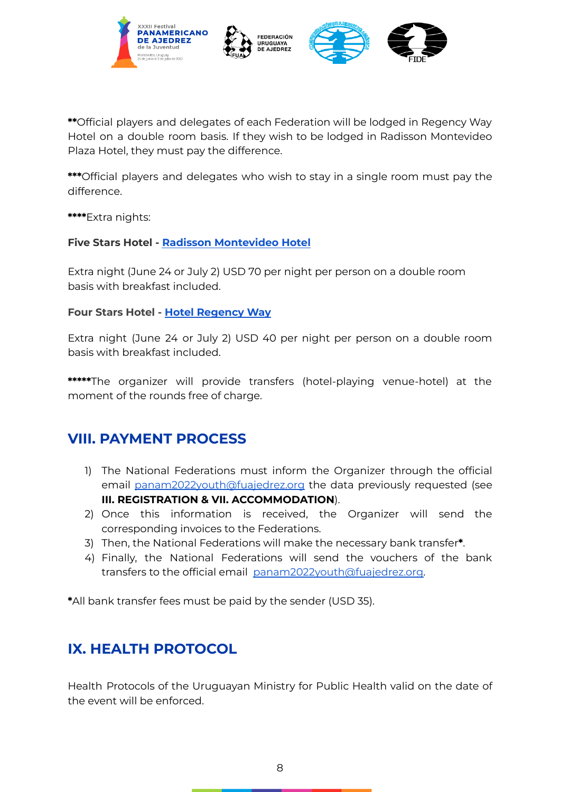





**\*\***Official players and delegates of each Federation will be lodged in Regency Way Hotel on a double room basis. If they wish to be lodged in Radisson Montevideo Plaza Hotel, they must pay the difference.

**\*\*\***Official players and delegates who wish to stay in a single room must pay the difference.

**\*\*\*\***Extra nights:

#### **Five Stars Hotel - Radisson [Montevideo](https://www.radissonvictoriaplaza.com.uy/home) Hotel**

Extra night (June 24 or July 2) USD 70 per night per person on a double room basis with breakfast included.

#### **Four Stars Hotel - Hotel [Regency](https://www.regencyway.com.uy/) Way**

Extra night (June 24 or July 2) USD 40 per night per person on a double room basis with breakfast included.

**\*\*\*\*\***The organizer will provide transfers (hotel-playing venue-hotel) at the moment of the rounds free of charge.

## <span id="page-7-0"></span>**VIII. PAYMENT PROCESS**

- 1) The National Federations must inform the Organizer through the official email [panam2022youth@fuajedrez.org](mailto:panam2022youth@fuajedrez.org) the data previously requested (see **III. REGISTRATION & VII. ACCOMMODATION**).
- 2) Once this information is received, the Organizer will send the corresponding invoices to the Federations.
- 3) Then, the National Federations will make the necessary bank transfer**\***.
- 4) Finally, the National Federations will send the vouchers of the bank transfers to the official email [panam2022youth@fuajedrez.org.](mailto:panam2022youth@fuajedrez.org)

**\***All bank transfer fees must be paid by the sender (USD 35).

# <span id="page-7-1"></span>**IX. HEALTH PROTOCOL**

Health Protocols of the Uruguayan Ministry for Public Health valid on the date of the event will be enforced.